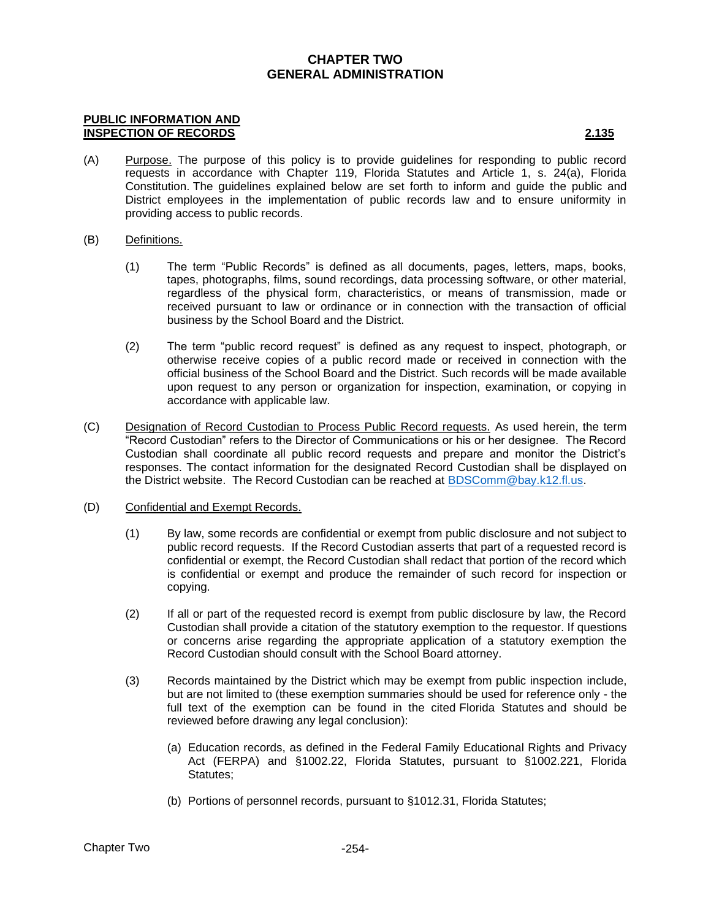### **PUBLIC INFORMATION AND INSPECTION OF RECORDS 2.135**

- (A) Purpose. The purpose of this policy is to provide guidelines for responding to public record requests in accordance with Chapter 119, Florida Statutes and Article 1, s. 24(a), Florida Constitution. The guidelines explained below are set forth to inform and guide the public and District employees in the implementation of public records law and to ensure uniformity in providing access to public records.
- (B) Definitions.
	- (1) The term "Public Records" is defined as all documents, pages, letters, maps, books, tapes, photographs, films, sound recordings, data processing software, or other material, regardless of the physical form, characteristics, or means of transmission, made or received pursuant to law or ordinance or in connection with the transaction of official business by the School Board and the District.
	- (2) The term "public record request" is defined as any request to inspect, photograph, or otherwise receive copies of a public record made or received in connection with the official business of the School Board and the District. Such records will be made available upon request to any person or organization for inspection, examination, or copying in accordance with applicable law.
- (C) Designation of Record Custodian to Process Public Record requests. As used herein, the term "Record Custodian" refers to the Director of Communications or his or her designee. The Record Custodian shall coordinate all public record requests and prepare and monitor the District's responses. The contact information for the designated Record Custodian shall be displayed on the District website. The Record Custodian can be reached at [BDSComm@bay.k12.fl.us.](mailto:BDSComm@bay.k12.fl.us)
- (D) Confidential and Exempt Records.
	- (1) By law, some records are confidential or exempt from public disclosure and not subject to public record requests. If the Record Custodian asserts that part of a requested record is confidential or exempt, the Record Custodian shall redact that portion of the record which is confidential or exempt and produce the remainder of such record for inspection or copying.
	- (2) If all or part of the requested record is exempt from public disclosure by law, the Record Custodian shall provide a citation of the statutory exemption to the requestor. If questions or concerns arise regarding the appropriate application of a statutory exemption the Record Custodian should consult with the School Board attorney.
	- (3) Records maintained by the District which may be exempt from public inspection include, but are not limited to (these exemption summaries should be used for reference only - the full text of the exemption can be found in the cited Florida Statutes and should be reviewed before drawing any legal conclusion):
		- (a) Education records, as defined in the Federal Family Educational Rights and Privacy Act (FERPA) and §1002.22, Florida Statutes, pursuant to §1002.221, Florida Statutes;
		- (b) Portions of personnel records, pursuant to §1012.31, Florida Statutes;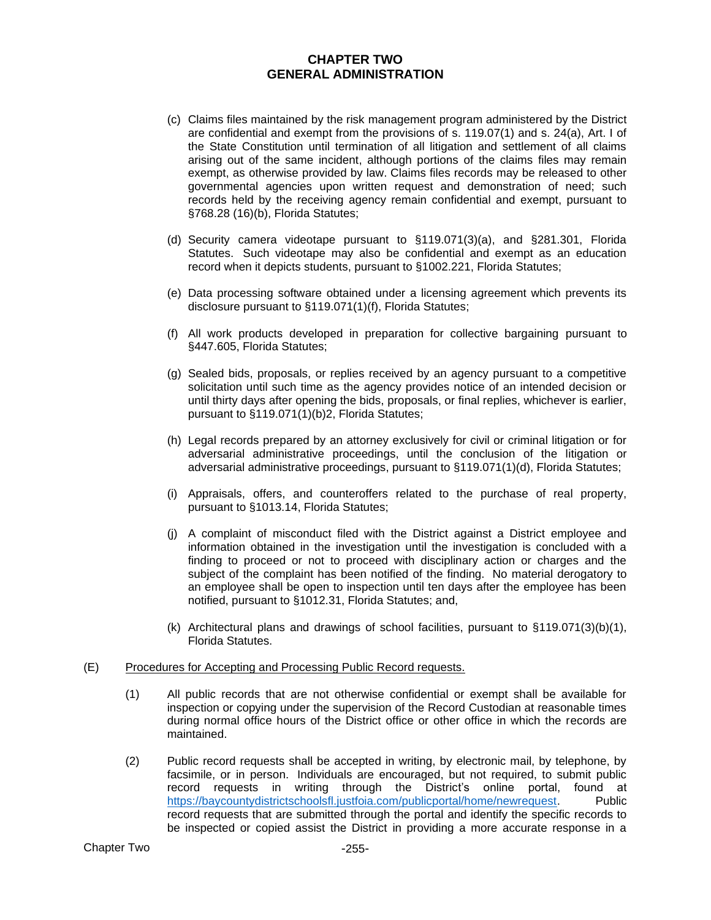- (c) Claims files maintained by the risk management program administered by the District are confidential and exempt from the provisions of s. 119.07(1) and s. 24(a), Art. I of the State Constitution until termination of all litigation and settlement of all claims arising out of the same incident, although portions of the claims files may remain exempt, as otherwise provided by law. Claims files records may be released to other governmental agencies upon written request and demonstration of need; such records held by the receiving agency remain confidential and exempt, pursuant to §768.28 (16)(b), Florida Statutes;
- (d) Security camera videotape pursuant to §119.071(3)(a), and §281.301, Florida Statutes. Such videotape may also be confidential and exempt as an education record when it depicts students, pursuant to §1002.221, Florida Statutes;
- (e) Data processing software obtained under a licensing agreement which prevents its disclosure pursuant to §119.071(1)(f), Florida Statutes;
- (f) All work products developed in preparation for collective bargaining pursuant to §447.605, Florida Statutes;
- (g) Sealed bids, proposals, or replies received by an agency pursuant to a competitive solicitation until such time as the agency provides notice of an intended decision or until thirty days after opening the bids, proposals, or final replies, whichever is earlier, pursuant to §119.071(1)(b)2, Florida Statutes;
- (h) Legal records prepared by an attorney exclusively for civil or criminal litigation or for adversarial administrative proceedings, until the conclusion of the litigation or adversarial administrative proceedings, pursuant to §119.071(1)(d), Florida Statutes;
- (i) Appraisals, offers, and counteroffers related to the purchase of real property, pursuant to §1013.14, Florida Statutes;
- (j) A complaint of misconduct filed with the District against a District employee and information obtained in the investigation until the investigation is concluded with a finding to proceed or not to proceed with disciplinary action or charges and the subject of the complaint has been notified of the finding. No material derogatory to an employee shall be open to inspection until ten days after the employee has been notified, pursuant to §1012.31, Florida Statutes; and,
- (k) Architectural plans and drawings of school facilities, pursuant to §119.071(3)(b)(1), Florida Statutes.

## (E) Procedures for Accepting and Processing Public Record requests.

- (1) All public records that are not otherwise confidential or exempt shall be available for inspection or copying under the supervision of the Record Custodian at reasonable times during normal office hours of the District office or other office in which the records are maintained.
- (2) Public record requests shall be accepted in writing, by electronic mail, by telephone, by facsimile, or in person. Individuals are encouraged, but not required, to submit public record requests in writing through the District's online portal, found at [https://baycountydistrictschoolsfl.justfoia.com/publicportal/home/newrequest.](https://baycountydistrictschoolsfl.justfoia.com/publicportal/home/newrequest) Public record requests that are submitted through the portal and identify the specific records to be inspected or copied assist the District in providing a more accurate response in a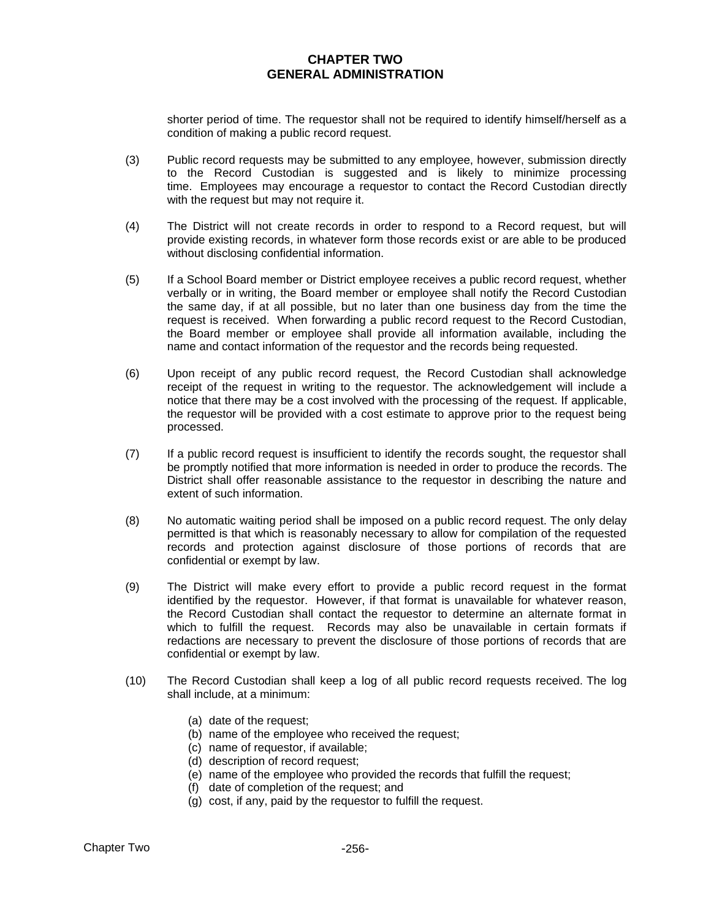shorter period of time. The requestor shall not be required to identify himself/herself as a condition of making a public record request.

- (3) Public record requests may be submitted to any employee, however, submission directly to the Record Custodian is suggested and is likely to minimize processing time. Employees may encourage a requestor to contact the Record Custodian directly with the request but may not require it.
- (4) The District will not create records in order to respond to a Record request, but will provide existing records, in whatever form those records exist or are able to be produced without disclosing confidential information.
- (5) If a School Board member or District employee receives a public record request, whether verbally or in writing, the Board member or employee shall notify the Record Custodian the same day, if at all possible, but no later than one business day from the time the request is received. When forwarding a public record request to the Record Custodian, the Board member or employee shall provide all information available, including the name and contact information of the requestor and the records being requested.
- (6) Upon receipt of any public record request, the Record Custodian shall acknowledge receipt of the request in writing to the requestor. The acknowledgement will include a notice that there may be a cost involved with the processing of the request. If applicable, the requestor will be provided with a cost estimate to approve prior to the request being processed.
- (7) If a public record request is insufficient to identify the records sought, the requestor shall be promptly notified that more information is needed in order to produce the records. The District shall offer reasonable assistance to the requestor in describing the nature and extent of such information.
- (8) No automatic waiting period shall be imposed on a public record request. The only delay permitted is that which is reasonably necessary to allow for compilation of the requested records and protection against disclosure of those portions of records that are confidential or exempt by law.
- (9) The District will make every effort to provide a public record request in the format identified by the requestor. However, if that format is unavailable for whatever reason, the Record Custodian shall contact the requestor to determine an alternate format in which to fulfill the request. Records may also be unavailable in certain formats if redactions are necessary to prevent the disclosure of those portions of records that are confidential or exempt by law.
- (10) The Record Custodian shall keep a log of all public record requests received. The log shall include, at a minimum:
	- (a) date of the request;
	- (b) name of the employee who received the request;
	- (c) name of requestor, if available;
	- (d) description of record request;
	- (e) name of the employee who provided the records that fulfill the request;
	- (f) date of completion of the request; and
	- (g) cost, if any, paid by the requestor to fulfill the request.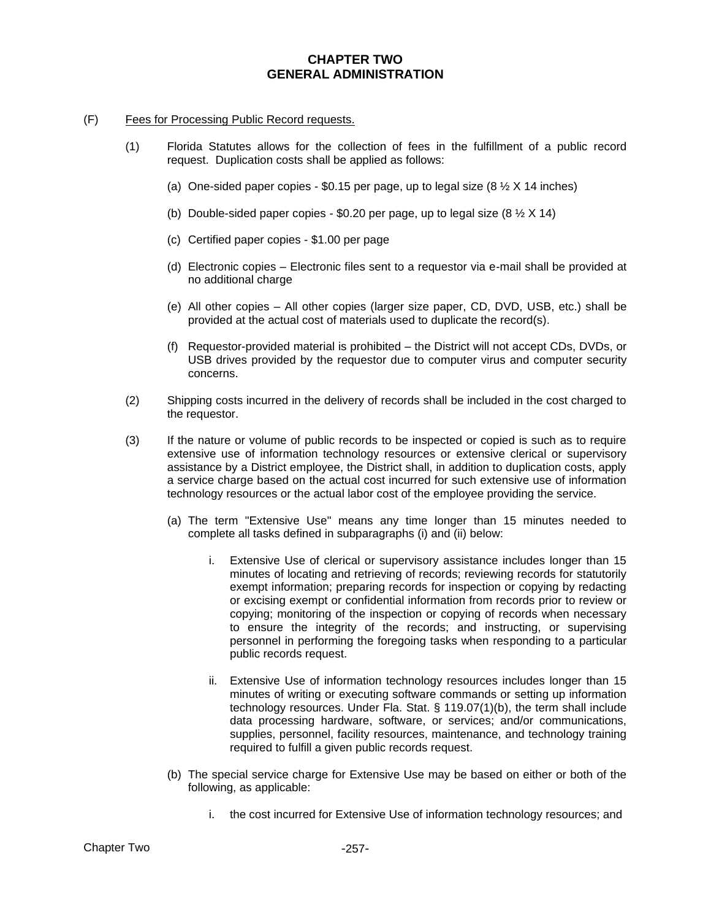### (F) Fees for Processing Public Record requests.

- (1) Florida Statutes allows for the collection of fees in the fulfillment of a public record request. Duplication costs shall be applied as follows:
	- (a) One-sided paper copies  $$0.15$  per page, up to legal size (8  $\frac{1}{2}$  X 14 inches)
	- (b) Double-sided paper copies \$0.20 per page, up to legal size  $(8 \frac{1}{2} \times 14)$
	- (c) Certified paper copies \$1.00 per page
	- (d) Electronic copies Electronic files sent to a requestor via e-mail shall be provided at no additional charge
	- (e) All other copies All other copies (larger size paper, CD, DVD, USB, etc.) shall be provided at the actual cost of materials used to duplicate the record(s).
	- (f) Requestor-provided material is prohibited the District will not accept CDs, DVDs, or USB drives provided by the requestor due to computer virus and computer security concerns.
- (2) Shipping costs incurred in the delivery of records shall be included in the cost charged to the requestor.
- (3) If the nature or volume of public records to be inspected or copied is such as to require extensive use of information technology resources or extensive clerical or supervisory assistance by a District employee, the District shall, in addition to duplication costs, apply a service charge based on the actual cost incurred for such extensive use of information technology resources or the actual labor cost of the employee providing the service.
	- (a) The term "Extensive Use" means any time longer than 15 minutes needed to complete all tasks defined in subparagraphs (i) and (ii) below:
		- i. Extensive Use of clerical or supervisory assistance includes longer than 15 minutes of locating and retrieving of records; reviewing records for statutorily exempt information; preparing records for inspection or copying by redacting or excising exempt or confidential information from records prior to review or copying; monitoring of the inspection or copying of records when necessary to ensure the integrity of the records; and instructing, or supervising personnel in performing the foregoing tasks when responding to a particular public records request.
		- ii. Extensive Use of information technology resources includes longer than 15 minutes of writing or executing software commands or setting up information technology resources. Under Fla. Stat. § 119.07(1)(b), the term shall include data processing hardware, software, or services; and/or communications, supplies, personnel, facility resources, maintenance, and technology training required to fulfill a given public records request.
	- (b) The special service charge for Extensive Use may be based on either or both of the following, as applicable:
		- i. the cost incurred for Extensive Use of information technology resources; and